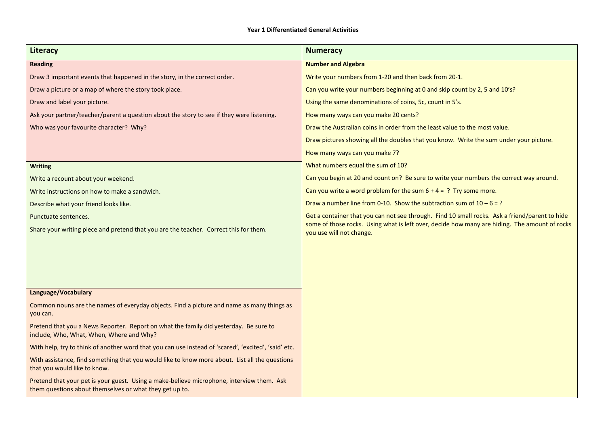## **Year 1 Differentiated General Activities**

| <b>Literacy</b>                                                                                                                                      | <b>Numeracy</b>                                                                                                           |
|------------------------------------------------------------------------------------------------------------------------------------------------------|---------------------------------------------------------------------------------------------------------------------------|
| <b>Reading</b>                                                                                                                                       | <b>Number and Algebra</b>                                                                                                 |
| Draw 3 important events that happened in the story, in the correct order.                                                                            | Write your numbers from 1-20 and then back from 20-1.                                                                     |
| Draw a picture or a map of where the story took place.                                                                                               | Can you write your numbers beginning at 0 and skip count by 2, 5 and 10's?                                                |
| Draw and label your picture.                                                                                                                         | Using the same denominations of coins, 5c, count in 5's.                                                                  |
| Ask your partner/teacher/parent a question about the story to see if they were listening.                                                            | How many ways can you make 20 cents?                                                                                      |
| Who was your favourite character? Why?                                                                                                               | Draw the Australian coins in order from the least value to the most value.                                                |
|                                                                                                                                                      | Draw pictures showing all the doubles that you know. Write the sum under your picture.                                    |
|                                                                                                                                                      | How many ways can you make 7?                                                                                             |
| <b>Writing</b>                                                                                                                                       | What numbers equal the sum of 10?                                                                                         |
| Write a recount about your weekend.                                                                                                                  | Can you begin at 20 and count on? Be sure to write your numbers the correct way around.                                   |
| Write instructions on how to make a sandwich.                                                                                                        | Can you write a word problem for the sum $6 + 4 = ?$ Try some more.                                                       |
| Describe what your friend looks like.                                                                                                                | Draw a number line from 0-10. Show the subtraction sum of $10 - 6 = ?$                                                    |
| Punctuate sentences.                                                                                                                                 | Get a container that you can not see through. Find 10 small rocks. Ask a friend/parent to hide                            |
| Share your writing piece and pretend that you are the teacher. Correct this for them.                                                                | some of those rocks. Using what is left over, decide how many are hiding. The amount of rocks<br>you use will not change. |
|                                                                                                                                                      |                                                                                                                           |
|                                                                                                                                                      |                                                                                                                           |
|                                                                                                                                                      |                                                                                                                           |
|                                                                                                                                                      |                                                                                                                           |
| Language/Vocabulary                                                                                                                                  |                                                                                                                           |
| Common nouns are the names of everyday objects. Find a picture and name as many things as<br>you can.                                                |                                                                                                                           |
| Pretend that you a News Reporter. Report on what the family did yesterday. Be sure to<br>include, Who, What, When, Where and Why?                    |                                                                                                                           |
| With help, try to think of another word that you can use instead of 'scared', 'excited', 'said' etc.                                                 |                                                                                                                           |
| With assistance, find something that you would like to know more about. List all the questions<br>that you would like to know.                       |                                                                                                                           |
| Pretend that your pet is your guest. Using a make-believe microphone, interview them. Ask<br>them questions about themselves or what they get up to. |                                                                                                                           |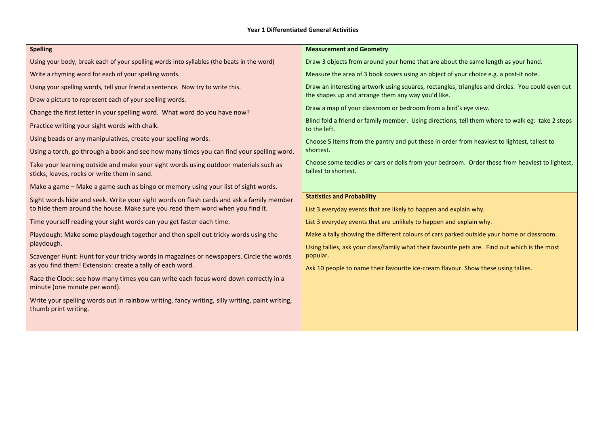## **Year 1 Differentiated General Activities**

| <b>Spelling</b>                                                                                                                                      | <b>Measurement and Geometry</b>                                                                                        |
|------------------------------------------------------------------------------------------------------------------------------------------------------|------------------------------------------------------------------------------------------------------------------------|
| Using your body, break each of your spelling words into syllables (the beats in the word)                                                            | Draw 3 objects from around your home that are about the same length as your hand.                                      |
| Write a rhyming word for each of your spelling words.                                                                                                | Measure the area of 3 book covers using an object of your choice e.g. a post-it note.                                  |
| Using your spelling words, tell your friend a sentence. Now try to write this.                                                                       | Draw an interesting artwork using squares, rectangles, triangles and circles. You could even cut                       |
| Draw a picture to represent each of your spelling words.                                                                                             | the shapes up and arrange them any way you'd like.                                                                     |
| Change the first letter in your spelling word. What word do you have now?                                                                            | Draw a map of your classroom or bedroom from a bird's eye view.                                                        |
| Practice writing your sight words with chalk.                                                                                                        | Blind fold a friend or family member. Using directions, tell them where to walk eg: take 2 steps<br>to the left.       |
| Using beads or any manipulatives, create your spelling words.                                                                                        | Choose 5 items from the pantry and put these in order from heaviest to lightest, tallest to                            |
| Using a torch, go through a book and see how many times you can find your spelling word.                                                             | shortest.                                                                                                              |
| Take your learning outside and make your sight words using outdoor materials such as<br>sticks, leaves, rocks or write them in sand.                 | Choose some teddies or cars or dolls from your bedroom. Order these from heaviest to lightest,<br>tallest to shortest. |
| Make a game - Make a game such as bingo or memory using your list of sight words.                                                                    |                                                                                                                        |
| Sight words hide and seek. Write your sight words on flash cards and ask a family member                                                             | <b>Statistics and Probability</b>                                                                                      |
| to hide them around the house. Make sure you read them word when you find it.                                                                        | List 3 everyday events that are likely to happen and explain why.                                                      |
| Time yourself reading your sight words can you get faster each time.                                                                                 | List 3 everyday events that are unlikely to happen and explain why.                                                    |
| Playdough: Make some playdough together and then spell out tricky words using the                                                                    | Make a tally showing the different colours of cars parked outside your home or classroom.                              |
| playdough.                                                                                                                                           | Using tallies, ask your class/family what their favourite pets are. Find out which is the most                         |
| Scavenger Hunt: Hunt for your tricky words in magazines or newspapers. Circle the words<br>as you find them! Extension: create a tally of each word. | popular.                                                                                                               |
|                                                                                                                                                      | Ask 10 people to name their favourite ice-cream flavour. Show these using tallies.                                     |
| Race the Clock: see how many times you can write each focus word down correctly in a<br>minute (one minute per word).                                |                                                                                                                        |
| Write your spelling words out in rainbow writing, fancy writing, silly writing, paint writing,<br>thumb print writing.                               |                                                                                                                        |
|                                                                                                                                                      |                                                                                                                        |